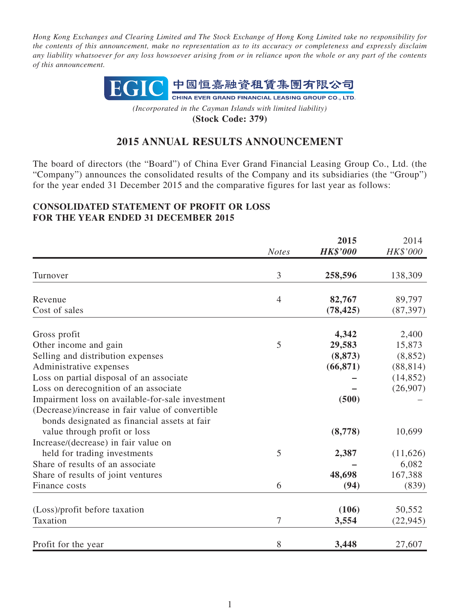*Hong Kong Exchanges and Clearing Limited and The Stock Exchange of Hong Kong Limited take no responsibility for the contents of this announcement, make no representation as to its accuracy or completeness and expressly disclaim any liability whatsoever for any loss howsoever arising from or in reliance upon the whole or any part of the contents of this announcement.*



*(Incorporated in the Cayman Islands with limited liability)* **(Stock Code: 379)**

# **2015 ANNUAL RESULTS ANNOUNCEMENT**

The board of directors (the "Board") of China Ever Grand Financial Leasing Group Co., Ltd. (the "Company") announces the consolidated results of the Company and its subsidiaries (the "Group") for the year ended 31 December 2015 and the comparative figures for last year as follows:

#### **CONSOLIDATED STATEMENT OF PROFIT OR LOSS FOR THE YEAR ENDED 31 DECEMBER 2015**

|                                                  |                | 2015            | 2014      |
|--------------------------------------------------|----------------|-----------------|-----------|
|                                                  | <b>Notes</b>   | <b>HK\$'000</b> | HK\$'000  |
| Turnover                                         | 3              | 258,596         | 138,309   |
| Revenue                                          | $\overline{4}$ | 82,767          | 89,797    |
| Cost of sales                                    |                | (78, 425)       | (87, 397) |
| Gross profit                                     |                | 4,342           | 2,400     |
| Other income and gain                            | 5              | 29,583          | 15,873    |
| Selling and distribution expenses                |                | (8, 873)        | (8, 852)  |
| Administrative expenses                          |                | (66, 871)       | (88, 814) |
| Loss on partial disposal of an associate         |                |                 | (14, 852) |
| Loss on derecognition of an associate            |                |                 | (26,907)  |
| Impairment loss on available-for-sale investment |                | (500)           |           |
| (Decrease)/increase in fair value of convertible |                |                 |           |
| bonds designated as financial assets at fair     |                |                 |           |
| value through profit or loss                     |                | (8,778)         | 10,699    |
| Increase/(decrease) in fair value on             |                |                 |           |
| held for trading investments                     | 5              | 2,387           | (11,626)  |
| Share of results of an associate                 |                |                 | 6,082     |
| Share of results of joint ventures               |                | 48,698          | 167,388   |
| Finance costs                                    | 6              | (94)            | (839)     |
| (Loss)/profit before taxation                    |                | (106)           | 50,552    |
| Taxation                                         | 7              | 3,554           | (22, 945) |
| Profit for the year                              | 8              | 3,448           | 27,607    |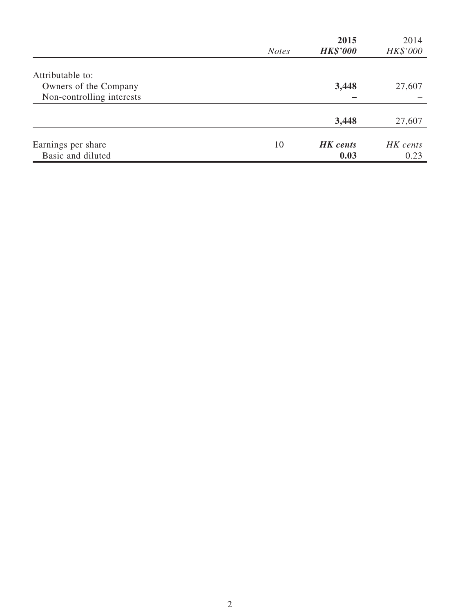|                           | <b>Notes</b> | 2015<br><b>HK\$'000</b> | 2014<br>HK\$'000 |
|---------------------------|--------------|-------------------------|------------------|
|                           |              |                         |                  |
| Attributable to:          |              |                         |                  |
| Owners of the Company     |              | 3,448                   | 27,607           |
| Non-controlling interests |              |                         |                  |
|                           |              | 3,448                   | 27,607           |
|                           |              |                         |                  |
| Earnings per share        | 10           | <b>HK</b> cents         | HK cents         |
| Basic and diluted         |              | 0.03                    | 0.23             |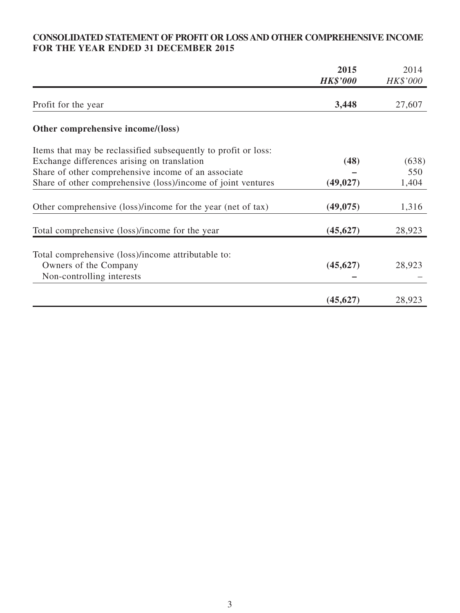# **CONSOLIDATED STATEMENT OF PROFIT OR LOSS AND OTHER COMPREHENSIVE INCOME FOR THE YEAR ENDED 31 DECEMBER 2015**

|                                                                | 2015<br><b>HK\$'000</b> | 2014<br>HK\$'000 |
|----------------------------------------------------------------|-------------------------|------------------|
| Profit for the year                                            | 3,448                   | 27,607           |
| Other comprehensive income/(loss)                              |                         |                  |
| Items that may be reclassified subsequently to profit or loss: |                         |                  |
| Exchange differences arising on translation                    | (48)                    | (638)            |
| Share of other comprehensive income of an associate            |                         | 550              |
| Share of other comprehensive (loss)/income of joint ventures   | (49, 027)               | 1,404            |
| Other comprehensive (loss)/income for the year (net of tax)    | (49, 075)               | 1,316            |
| Total comprehensive (loss)/income for the year                 | (45, 627)               | 28,923           |
| Total comprehensive (loss)/income attributable to:             |                         |                  |
| Owners of the Company                                          | (45, 627)               | 28,923           |
| Non-controlling interests                                      |                         |                  |
|                                                                | (45, 627)               | 28,923           |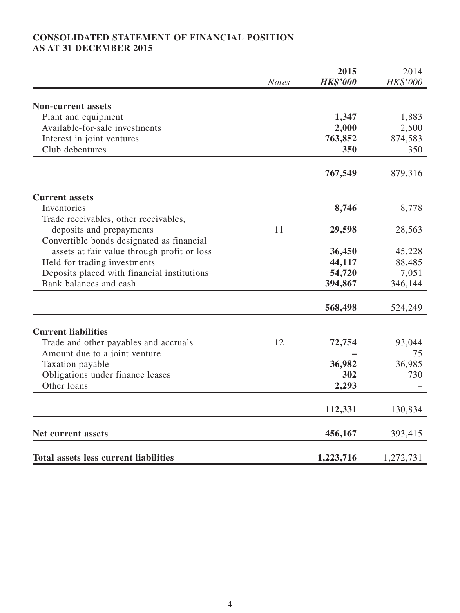# **CONSOLIDATED STATEMENT OF FINANCIAL POSITION AS AT 31 DECEMBER 2015**

|                                              | <b>Notes</b> | 2015<br><b>HK\$'000</b> | 2014<br>HK\$'000 |
|----------------------------------------------|--------------|-------------------------|------------------|
|                                              |              |                         |                  |
| <b>Non-current assets</b>                    |              |                         |                  |
| Plant and equipment                          |              | 1,347                   | 1,883            |
| Available-for-sale investments               |              | 2,000                   | 2,500            |
| Interest in joint ventures                   |              | 763,852                 | 874,583          |
| Club debentures                              |              | 350                     | 350              |
|                                              |              | 767,549                 | 879,316          |
| <b>Current assets</b>                        |              |                         |                  |
| Inventories                                  |              | 8,746                   | 8,778            |
| Trade receivables, other receivables,        |              |                         |                  |
| deposits and prepayments                     | 11           | 29,598                  | 28,563           |
| Convertible bonds designated as financial    |              |                         |                  |
| assets at fair value through profit or loss  |              | 36,450                  | 45,228           |
| Held for trading investments                 |              | 44,117                  | 88,485           |
| Deposits placed with financial institutions  |              | 54,720                  | 7,051            |
| Bank balances and cash                       |              | 394,867                 | 346,144          |
|                                              |              | 568,498                 | 524,249          |
| <b>Current liabilities</b>                   |              |                         |                  |
| Trade and other payables and accruals        | 12           | 72,754                  | 93,044           |
| Amount due to a joint venture                |              |                         | 75               |
| Taxation payable                             |              | 36,982                  | 36,985           |
| Obligations under finance leases             |              | 302                     | 730              |
| Other loans                                  |              |                         |                  |
|                                              |              | 2,293                   |                  |
|                                              |              | 112,331                 | 130,834          |
| <b>Net current assets</b>                    |              | 456,167                 | 393,415          |
| <b>Total assets less current liabilities</b> |              | 1,223,716               | 1,272,731        |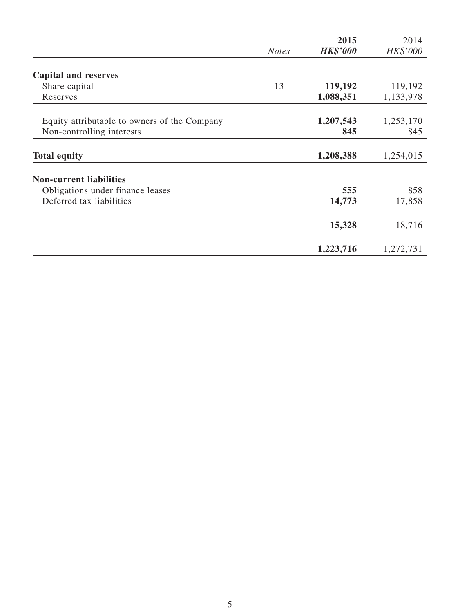|                                              |              | 2015            | 2014      |
|----------------------------------------------|--------------|-----------------|-----------|
|                                              | <b>Notes</b> | <b>HK\$'000</b> | HK\$'000  |
| <b>Capital and reserves</b>                  |              |                 |           |
| Share capital                                | 13           | 119,192         | 119,192   |
| Reserves                                     |              | 1,088,351       | 1,133,978 |
|                                              |              |                 |           |
| Equity attributable to owners of the Company |              | 1,207,543       | 1,253,170 |
| Non-controlling interests                    |              | 845             | 845       |
| <b>Total equity</b>                          |              | 1,208,388       | 1,254,015 |
| <b>Non-current liabilities</b>               |              |                 |           |
| Obligations under finance leases             |              | 555             | 858       |
| Deferred tax liabilities                     |              | 14,773          | 17,858    |
|                                              |              | 15,328          | 18,716    |
|                                              |              | 1,223,716       | 1,272,731 |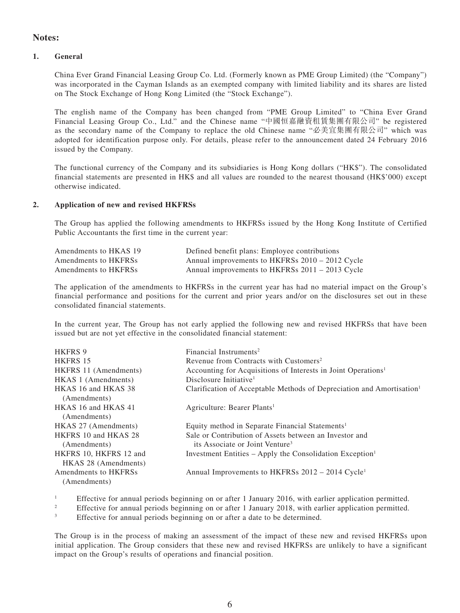### **Notes:**

#### **1. General**

China Ever Grand Financial Leasing Group Co. Ltd. (Formerly known as PME Group Limited) (the "Company") was incorporated in the Cayman Islands as an exempted company with limited liability and its shares are listed on The Stock Exchange of Hong Kong Limited (the "Stock Exchange").

The english name of the Company has been changed from "PME Group Limited" to "China Ever Grand Financial Leasing Group Co., Ltd." and the Chinese name "中國恒嘉融資租賃集團有限公司" be registered as the secondary name of the Company to replace the old Chinese name "必美宜集團有限公司" which was adopted for identification purpose only. For details, please refer to the announcement dated 24 February 2016 issued by the Company.

The functional currency of the Company and its subsidiaries is Hong Kong dollars ("HK\$"). The consolidated financial statements are presented in HK\$ and all values are rounded to the nearest thousand (HK\$'000) except otherwise indicated.

#### **2. Application of new and revised HKFRSs**

The Group has applied the following amendments to HKFRSs issued by the Hong Kong Institute of Certified Public Accountants the first time in the current year:

| Amendments to HKAS 19 | Defined benefit plans: Employee contributions   |
|-----------------------|-------------------------------------------------|
| Amendments to HKFRSs  | Annual improvements to HKFRSs 2010 – 2012 Cycle |
| Amendments to HKFRSs  | Annual improvements to HKFRSs 2011 – 2013 Cycle |

The application of the amendments to HKFRSs in the current year has had no material impact on the Group's financial performance and positions for the current and prior years and/or on the disclosures set out in these consolidated financial statements.

In the current year, The Group has not early applied the following new and revised HKFRSs that have been issued but are not yet effective in the consolidated financial statement:

| <b>HKFRS 9</b>               | Financial Instruments <sup>2</sup>                                                |
|------------------------------|-----------------------------------------------------------------------------------|
| HKFRS 15                     | Revenue from Contracts with Customers <sup>2</sup>                                |
| <b>HKFRS</b> 11 (Amendments) | Accounting for Acquisitions of Interests in Joint Operations <sup>1</sup>         |
| HKAS 1 (Amendments)          | Disclosure Initiative <sup>1</sup>                                                |
| HKAS 16 and HKAS 38          | Clarification of Acceptable Methods of Depreciation and Amortisation <sup>1</sup> |
| (Amendments)                 |                                                                                   |
| HKAS 16 and HKAS 41          | Agriculture: Bearer Plants <sup>1</sup>                                           |
| (Amendments)                 |                                                                                   |
| HKAS 27 (Amendments)         | Equity method in Separate Financial Statements <sup>1</sup>                       |
| HKFRS 10 and HKAS 28         | Sale or Contribution of Assets between an Investor and                            |
| (Amendments)                 | its Associate or Joint Venture <sup>3</sup>                                       |
| HKFRS 10, HKFRS 12 and       | Investment Entities – Apply the Consolidation Exception <sup>1</sup>              |
| HKAS 28 (Amendments)         |                                                                                   |
| Amendments to HKFRSs         | Annual Improvements to HKFRSs 2012 – 2014 Cycle <sup>1</sup>                      |
| (Amendments)                 |                                                                                   |

<sup>1</sup> Effective for annual periods beginning on or after 1 January 2016, with earlier application permitted.

<sup>2</sup> Effective for annual periods beginning on or after 1 January 2018, with earlier application permitted.

<sup>3</sup> Effective for annual periods beginning on or after a date to be determined.

The Group is in the process of making an assessment of the impact of these new and revised HKFRSs upon initial application. The Group considers that these new and revised HKFRSs are unlikely to have a significant impact on the Group's results of operations and financial position.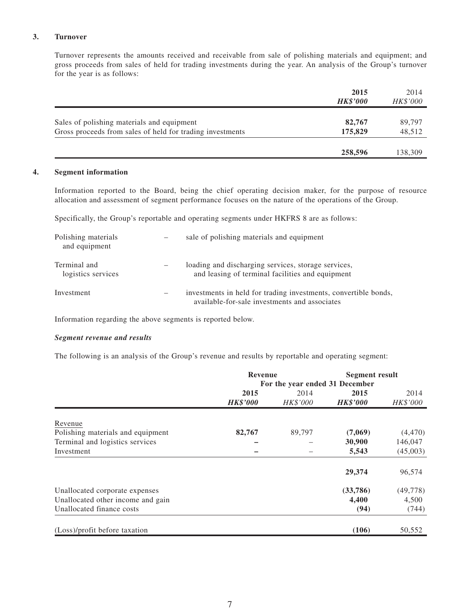#### **3. Turnover**

Turnover represents the amounts received and receivable from sale of polishing materials and equipment; and gross proceeds from sales of held for trading investments during the year. An analysis of the Group's turnover for the year is as follows:

|                                                           | 2015<br><b>HK\$'000</b> | 2014<br><i>HK\$'000</i> |
|-----------------------------------------------------------|-------------------------|-------------------------|
| Sales of polishing materials and equipment                | 82,767                  | 89,797                  |
| Gross proceeds from sales of held for trading investments | 175,829                 | 48,512                  |
|                                                           | 258,596                 | 138,309                 |

#### **4. Segment information**

Information reported to the Board, being the chief operating decision maker, for the purpose of resource allocation and assessment of segment performance focuses on the nature of the operations of the Group.

Specifically, the Group's reportable and operating segments under HKFRS 8 are as follows:

| Polishing materials<br>and equipment |                          | sale of polishing materials and equipment                                                                        |
|--------------------------------------|--------------------------|------------------------------------------------------------------------------------------------------------------|
| Terminal and<br>logistics services   |                          | loading and discharging services, storage services,<br>and leasing of terminal facilities and equipment          |
| Investment                           | $\overline{\phantom{m}}$ | investments in held for trading investments, convertible bonds,<br>available-for-sale investments and associates |

Information regarding the above segments is reported below.

#### *Segment revenue and results*

The following is an analysis of the Group's revenue and results by reportable and operating segment:

|                                   | <b>Revenue</b><br>For the year ended 31 December |          | <b>Segment result</b> |           |
|-----------------------------------|--------------------------------------------------|----------|-----------------------|-----------|
|                                   |                                                  |          |                       |           |
|                                   | 2015                                             | 2014     | 2015                  | 2014      |
|                                   | <b>HK\$'000</b>                                  | HK\$'000 | <b>HK\$'000</b>       | HK\$'000  |
| Revenue                           |                                                  |          |                       |           |
| Polishing materials and equipment | 82,767                                           | 89,797   | (7,069)               | (4, 470)  |
| Terminal and logistics services   |                                                  |          | 30,900                | 146,047   |
| Investment                        |                                                  |          | 5,543                 | (45,003)  |
|                                   |                                                  |          | 29,374                | 96,574    |
| Unallocated corporate expenses    |                                                  |          | (33,786)              | (49, 778) |
| Unallocated other income and gain |                                                  |          | 4,400                 | 4,500     |
| Unallocated finance costs         |                                                  |          | (94)                  | (744)     |
| (Loss)/profit before taxation     |                                                  |          | (106)                 | 50,552    |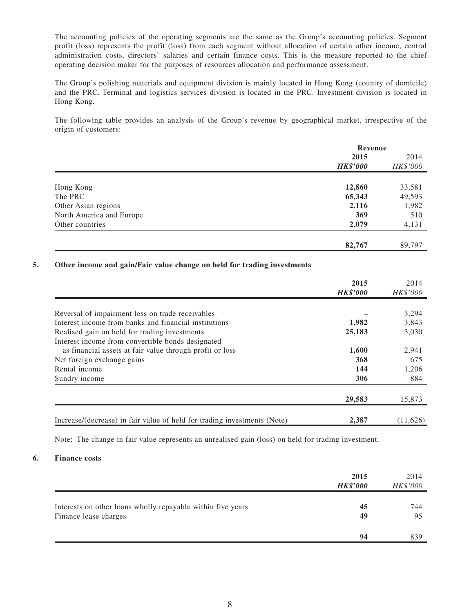The accounting policies of the operating segments are the same as the Group's accounting policies. Segment profit (loss) represents the profit (loss) from each segment without allocation of certain other income, central administration costs, directors' salaries and certain finance costs. This is the measure reported to the chief operating decision maker for the purposes of resources allocation and performance assessment.

The Group's polishing materials and equipment division is mainly located in Hong Kong (country of domicile) and the PRC. Terminal and logistics services division is located in the PRC. Investment division is located in Hong Kong.

The following table provides an analysis of the Group's revenue by geographical market, irrespective of the origin of customers:

|                          | Revenue         |                  |
|--------------------------|-----------------|------------------|
|                          | 2015            | 2014<br>HK\$'000 |
|                          | <b>HK\$'000</b> |                  |
|                          |                 |                  |
| Hong Kong                | 12,860          | 33,581           |
| The PRC                  | 65,343          | 49,593           |
| Other Asian regions      | 2,116           | 1,982            |
| North America and Europe | 369             | 510              |
| Other countries          | 2,079           | 4,131            |
|                          | 82,767          | 89,797           |
|                          |                 |                  |

#### **5. Other income and gain/Fair value change on held for trading investments**

|                                                                          | 2015<br><b>HK\$'000</b> | 2014<br>HK\$'000 |
|--------------------------------------------------------------------------|-------------------------|------------------|
|                                                                          |                         |                  |
| Reversal of impairment loss on trade receivables                         |                         | 3,294            |
| Interest income from banks and financial institutions                    | 1,982                   | 3,843            |
| Realised gain on held for trading investments                            | 25,183                  | 3,030            |
| Interest income from convertible bonds designated                        |                         |                  |
| as financial assets at fair value through profit or loss                 | 1.600                   | 2,941            |
| Net foreign exchange gains                                               | 368                     | 675              |
| Rental income                                                            | 144                     | 1,206            |
| Sundry income                                                            | 306                     | 884              |
|                                                                          | 29,583                  | 15,873           |
| Increase/(decrease) in fair value of held for trading investments (Note) | 2,387                   | (11,626)         |

Note: The change in fair value represents an unrealised gain (loss) on held for trading investment.

#### **6. Finance costs**

|                                                             | 2015<br><b>HK\$'000</b> | 2014<br>HK\$'000 |
|-------------------------------------------------------------|-------------------------|------------------|
| Interests on other loans wholly repayable within five years | 45                      | 744              |
| Finance lease charges                                       | 49                      | 95               |
|                                                             | 94                      | 839              |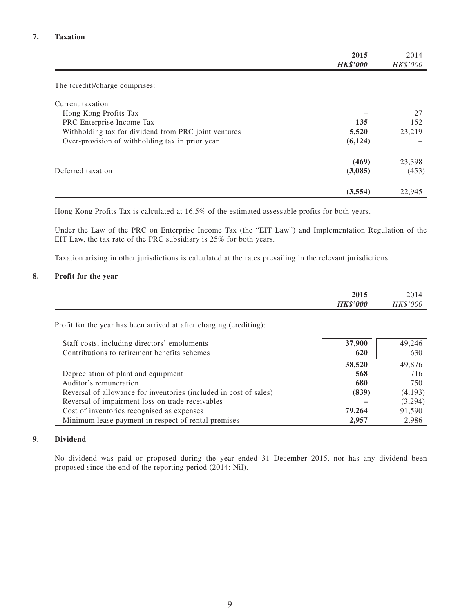|                                                      | 2015<br><b>HK\$'000</b> | 2014<br>HK\$'000 |
|------------------------------------------------------|-------------------------|------------------|
|                                                      |                         |                  |
| The (credit)/charge comprises:                       |                         |                  |
| Current taxation                                     |                         |                  |
| Hong Kong Profits Tax                                |                         | 27               |
| PRC Enterprise Income Tax                            | 135                     | 152              |
| Withholding tax for dividend from PRC joint ventures | 5,520                   | 23,219           |
| Over-provision of withholding tax in prior year      | (6, 124)                |                  |
|                                                      | (469)                   | 23,398           |
| Deferred taxation                                    | (3,085)                 | (453)            |
|                                                      | (3,554)                 | 22,945           |

Hong Kong Profits Tax is calculated at 16.5% of the estimated assessable profits for both years.

Under the Law of the PRC on Enterprise Income Tax (the "EIT Law") and Implementation Regulation of the EIT Law, the tax rate of the PRC subsidiary is 25% for both years.

Taxation arising in other jurisdictions is calculated at the rates prevailing in the relevant jurisdictions.

#### **8. Profit for the year**

|                                                                     | 2015<br><b>HK\$'000</b> | 2014<br><b>HK\$'000</b> |
|---------------------------------------------------------------------|-------------------------|-------------------------|
| Profit for the year has been arrived at after charging (crediting): |                         |                         |
| Staff costs, including directors' emoluments                        | 37,900                  | 49,246                  |
| Contributions to retirement benefits schemes                        | 620                     | 630                     |
|                                                                     | 38,520                  | 49,876                  |
| Depreciation of plant and equipment                                 | 568                     | 716                     |
| Auditor's remuneration                                              | 680                     | 750                     |
| Reversal of allowance for inventories (included in cost of sales)   | (839)                   | (4,193)                 |
| Reversal of impairment loss on trade receivables                    |                         | (3,294)                 |
| Cost of inventories recognised as expenses                          | 79,264                  | 91,590                  |
| Minimum lease payment in respect of rental premises                 | 2,957                   | 2,986                   |

#### **9. Dividend**

No dividend was paid or proposed during the year ended 31 December 2015, nor has any dividend been proposed since the end of the reporting period (2014: Nil).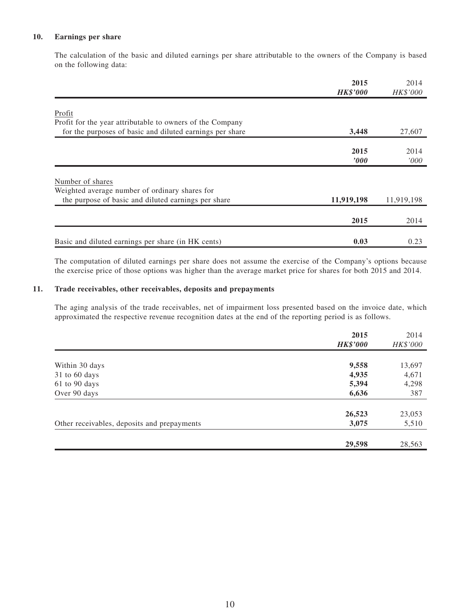#### **10. Earnings per share**

The calculation of the basic and diluted earnings per share attributable to the owners of the Company is based on the following data:

|                                                           | 2015<br><b>HK\$'000</b> | 2014<br>HK\$'000 |
|-----------------------------------------------------------|-------------------------|------------------|
|                                                           |                         |                  |
| Profit                                                    |                         |                  |
| Profit for the year attributable to owners of the Company |                         |                  |
| for the purposes of basic and diluted earnings per share  | 3,448                   | 27,607           |
|                                                           |                         |                  |
|                                                           | 2015                    | 2014             |
|                                                           | $\bm{v}$                | '000             |
|                                                           |                         |                  |
| Number of shares                                          |                         |                  |
| Weighted average number of ordinary shares for            |                         |                  |
| the purpose of basic and diluted earnings per share       | 11,919,198              | 11,919,198       |
|                                                           |                         |                  |
|                                                           | 2015                    | 2014             |
|                                                           |                         |                  |
| Basic and diluted earnings per share (in HK cents)        | 0.03                    | 0.23             |

The computation of diluted earnings per share does not assume the exercise of the Company's options because the exercise price of those options was higher than the average market price for shares for both 2015 and 2014.

#### **11. Trade receivables, other receivables, deposits and prepayments**

The aging analysis of the trade receivables, net of impairment loss presented based on the invoice date, which approximated the respective revenue recognition dates at the end of the reporting period is as follows.

|                                             | 2015            | 2014     |
|---------------------------------------------|-----------------|----------|
|                                             | <b>HK\$'000</b> | HK\$'000 |
|                                             |                 |          |
| Within 30 days                              | 9,558           | 13,697   |
| 31 to 60 days                               | 4,935           | 4,671    |
| 61 to 90 days                               | 5,394           | 4,298    |
| Over 90 days                                | 6,636           | 387      |
|                                             | 26,523          | 23,053   |
| Other receivables, deposits and prepayments | 3,075           | 5,510    |
|                                             |                 |          |
|                                             | 29,598          | 28,563   |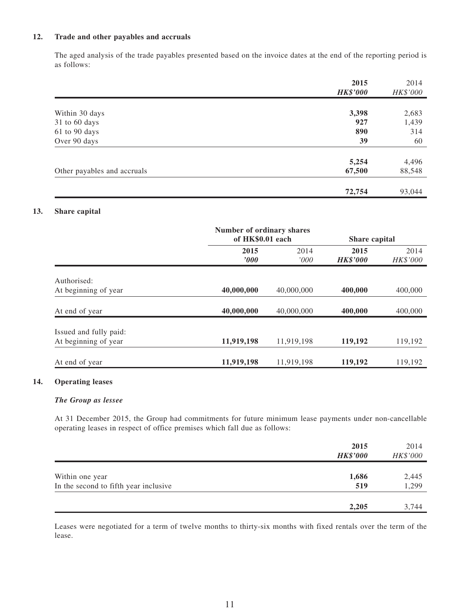#### **12. Trade and other payables and accruals**

The aged analysis of the trade payables presented based on the invoice dates at the end of the reporting period is as follows:

|                             | 2015<br><b>HK\$'000</b> | 2014<br>HK\$'000 |
|-----------------------------|-------------------------|------------------|
|                             |                         |                  |
| Within 30 days              | 3,398                   | 2,683            |
| 31 to 60 days               | 927                     | 1,439            |
| 61 to 90 days               | 890                     | 314              |
| Over 90 days                | 39                      | 60               |
|                             | 5,254                   | 4,496            |
| Other payables and accruals | 67,500                  | 88,548           |
|                             |                         |                  |
|                             | 72,754                  | 93,044           |

#### **13. Share capital**

|                        | Number of ordinary shares<br>of HK\$0.01 each |            | Share capital   |          |
|------------------------|-----------------------------------------------|------------|-----------------|----------|
|                        | 2015                                          | 2014       | 2015            | 2014     |
|                        | $\boldsymbol{v}$                              | '000'      | <b>HK\$'000</b> | HK\$'000 |
| Authorised:            |                                               |            |                 |          |
| At beginning of year   | 40,000,000                                    | 40,000,000 | 400,000         | 400,000  |
| At end of year         | 40,000,000                                    | 40,000,000 | 400,000         | 400,000  |
| Issued and fully paid: |                                               |            |                 |          |
| At beginning of year   | 11,919,198                                    | 11,919,198 | 119,192         | 119,192  |
| At end of year         | 11,919,198                                    | 11,919,198 | 119,192         | 119,192  |

#### **14. Operating leases**

#### *The Group as lessee*

At 31 December 2015, the Group had commitments for future minimum lease payments under non-cancellable operating leases in respect of office premises which fall due as follows:

|                                       | 2015<br><b>HK\$'000</b> | 2014<br>HK\$'000 |
|---------------------------------------|-------------------------|------------------|
| Within one year                       | 1,686                   | 2,445            |
| In the second to fifth year inclusive | 519                     | 1,299            |
|                                       | 2,205                   | 3,744            |

Leases were negotiated for a term of twelve months to thirty-six months with fixed rentals over the term of the lease.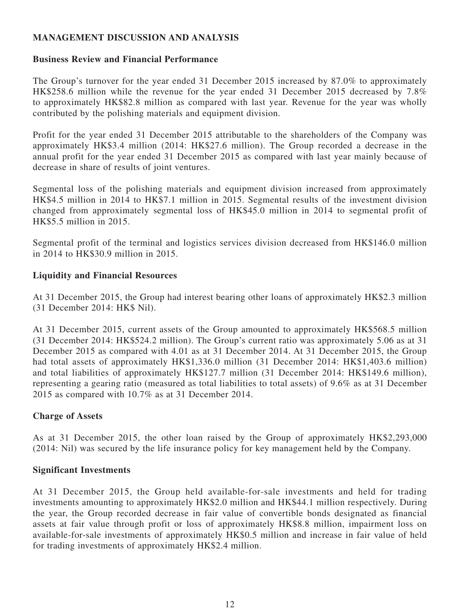## **MANAGEMENT DISCUSSION AND ANALYSIS**

### **Business Review and Financial Performance**

The Group's turnover for the year ended 31 December 2015 increased by 87.0% to approximately HK\$258.6 million while the revenue for the year ended 31 December 2015 decreased by 7.8% to approximately HK\$82.8 million as compared with last year. Revenue for the year was wholly contributed by the polishing materials and equipment division.

Profit for the year ended 31 December 2015 attributable to the shareholders of the Company was approximately HK\$3.4 million (2014: HK\$27.6 million). The Group recorded a decrease in the annual profit for the year ended 31 December 2015 as compared with last year mainly because of decrease in share of results of joint ventures.

Segmental loss of the polishing materials and equipment division increased from approximately HK\$4.5 million in 2014 to HK\$7.1 million in 2015. Segmental results of the investment division changed from approximately segmental loss of HK\$45.0 million in 2014 to segmental profit of HK\$5.5 million in 2015.

Segmental profit of the terminal and logistics services division decreased from HK\$146.0 million in 2014 to HK\$30.9 million in 2015.

## **Liquidity and Financial Resources**

At 31 December 2015, the Group had interest bearing other loans of approximately HK\$2.3 million (31 December 2014: HK\$ Nil).

At 31 December 2015, current assets of the Group amounted to approximately HK\$568.5 million (31 December 2014: HK\$524.2 million). The Group's current ratio was approximately 5.06 as at 31 December 2015 as compared with 4.01 as at 31 December 2014. At 31 December 2015, the Group had total assets of approximately HK\$1,336.0 million (31 December 2014: HK\$1,403.6 million) and total liabilities of approximately HK\$127.7 million (31 December 2014: HK\$149.6 million), representing a gearing ratio (measured as total liabilities to total assets) of 9.6% as at 31 December 2015 as compared with 10.7% as at 31 December 2014.

## **Charge of Assets**

As at 31 December 2015, the other loan raised by the Group of approximately HK\$2,293,000 (2014: Nil) was secured by the life insurance policy for key management held by the Company.

### **Significant Investments**

At 31 December 2015, the Group held available-for-sale investments and held for trading investments amounting to approximately HK\$2.0 million and HK\$44.1 million respectively. During the year, the Group recorded decrease in fair value of convertible bonds designated as financial assets at fair value through profit or loss of approximately HK\$8.8 million, impairment loss on available-for-sale investments of approximately HK\$0.5 million and increase in fair value of held for trading investments of approximately HK\$2.4 million.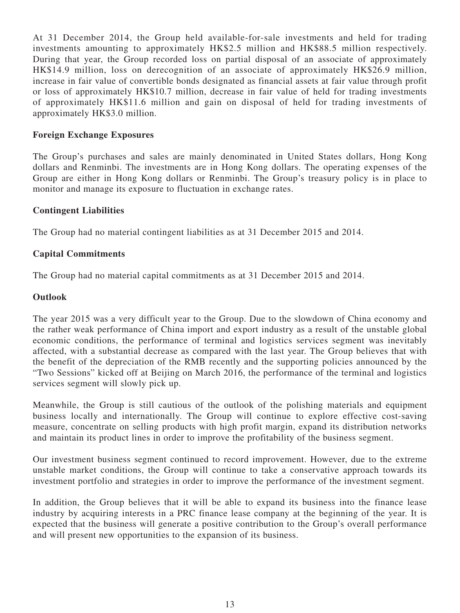At 31 December 2014, the Group held available-for-sale investments and held for trading investments amounting to approximately HK\$2.5 million and HK\$88.5 million respectively. During that year, the Group recorded loss on partial disposal of an associate of approximately HK\$14.9 million, loss on derecognition of an associate of approximately HK\$26.9 million, increase in fair value of convertible bonds designated as financial assets at fair value through profit or loss of approximately HK\$10.7 million, decrease in fair value of held for trading investments of approximately HK\$11.6 million and gain on disposal of held for trading investments of approximately HK\$3.0 million.

### **Foreign Exchange Exposures**

The Group's purchases and sales are mainly denominated in United States dollars, Hong Kong dollars and Renminbi. The investments are in Hong Kong dollars. The operating expenses of the Group are either in Hong Kong dollars or Renminbi. The Group's treasury policy is in place to monitor and manage its exposure to fluctuation in exchange rates.

### **Contingent Liabilities**

The Group had no material contingent liabilities as at 31 December 2015 and 2014.

### **Capital Commitments**

The Group had no material capital commitments as at 31 December 2015 and 2014.

### **Outlook**

The year 2015 was a very difficult year to the Group. Due to the slowdown of China economy and the rather weak performance of China import and export industry as a result of the unstable global economic conditions, the performance of terminal and logistics services segment was inevitably affected, with a substantial decrease as compared with the last year. The Group believes that with the benefit of the depreciation of the RMB recently and the supporting policies announced by the "Two Sessions" kicked off at Beijing on March 2016, the performance of the terminal and logistics services segment will slowly pick up.

Meanwhile, the Group is still cautious of the outlook of the polishing materials and equipment business locally and internationally. The Group will continue to explore effective cost-saving measure, concentrate on selling products with high profit margin, expand its distribution networks and maintain its product lines in order to improve the profitability of the business segment.

Our investment business segment continued to record improvement. However, due to the extreme unstable market conditions, the Group will continue to take a conservative approach towards its investment portfolio and strategies in order to improve the performance of the investment segment.

In addition, the Group believes that it will be able to expand its business into the finance lease industry by acquiring interests in a PRC finance lease company at the beginning of the year. It is expected that the business will generate a positive contribution to the Group's overall performance and will present new opportunities to the expansion of its business.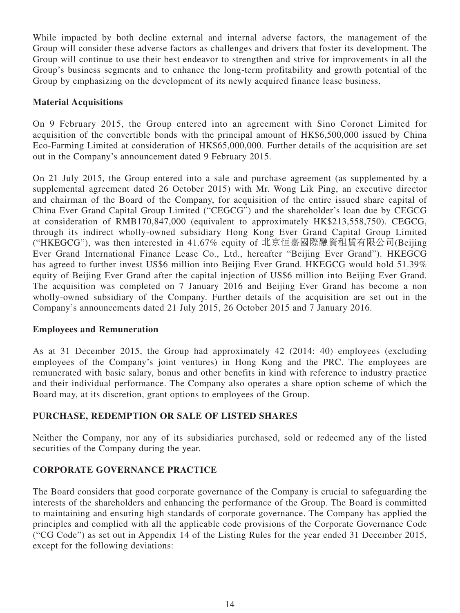While impacted by both decline external and internal adverse factors, the management of the Group will consider these adverse factors as challenges and drivers that foster its development. The Group will continue to use their best endeavor to strengthen and strive for improvements in all the Group's business segments and to enhance the long-term profitability and growth potential of the Group by emphasizing on the development of its newly acquired finance lease business.

## **Material Acquisitions**

On 9 February 2015, the Group entered into an agreement with Sino Coronet Limited for acquisition of the convertible bonds with the principal amount of HK\$6,500,000 issued by China Eco-Farming Limited at consideration of HK\$65,000,000. Further details of the acquisition are set out in the Company's announcement dated 9 February 2015.

On 21 July 2015, the Group entered into a sale and purchase agreement (as supplemented by a supplemental agreement dated 26 October 2015) with Mr. Wong Lik Ping, an executive director and chairman of the Board of the Company, for acquisition of the entire issued share capital of China Ever Grand Capital Group Limited ("CEGCG") and the shareholder's loan due by CEGCG at consideration of RMB170,847,000 (equivalent to approximately HK\$213,558,750). CEGCG, through its indirect wholly-owned subsidiary Hong Kong Ever Grand Capital Group Limited ("HKEGCG"), was then interested in 41.67% equity of 北京恒嘉國際融資租賃有限公司(Beijing Ever Grand International Finance Lease Co., Ltd., hereafter "Beijing Ever Grand"). HKEGCG has agreed to further invest US\$6 million into Beijing Ever Grand. HKEGCG would hold 51.39% equity of Beijing Ever Grand after the capital injection of US\$6 million into Beijing Ever Grand. The acquisition was completed on 7 January 2016 and Beijing Ever Grand has become a non wholly-owned subsidiary of the Company. Further details of the acquisition are set out in the Company's announcements dated 21 July 2015, 26 October 2015 and 7 January 2016.

### **Employees and Remuneration**

As at 31 December 2015, the Group had approximately 42 (2014: 40) employees (excluding employees of the Company's joint ventures) in Hong Kong and the PRC. The employees are remunerated with basic salary, bonus and other benefits in kind with reference to industry practice and their individual performance. The Company also operates a share option scheme of which the Board may, at its discretion, grant options to employees of the Group.

## **PURCHASE, REDEMPTION OR SALE OF LISTED SHARES**

Neither the Company, nor any of its subsidiaries purchased, sold or redeemed any of the listed securities of the Company during the year.

## **CORPORATE GOVERNANCE PRACTICE**

The Board considers that good corporate governance of the Company is crucial to safeguarding the interests of the shareholders and enhancing the performance of the Group. The Board is committed to maintaining and ensuring high standards of corporate governance. The Company has applied the principles and complied with all the applicable code provisions of the Corporate Governance Code ("CG Code") as set out in Appendix 14 of the Listing Rules for the year ended 31 December 2015, except for the following deviations: